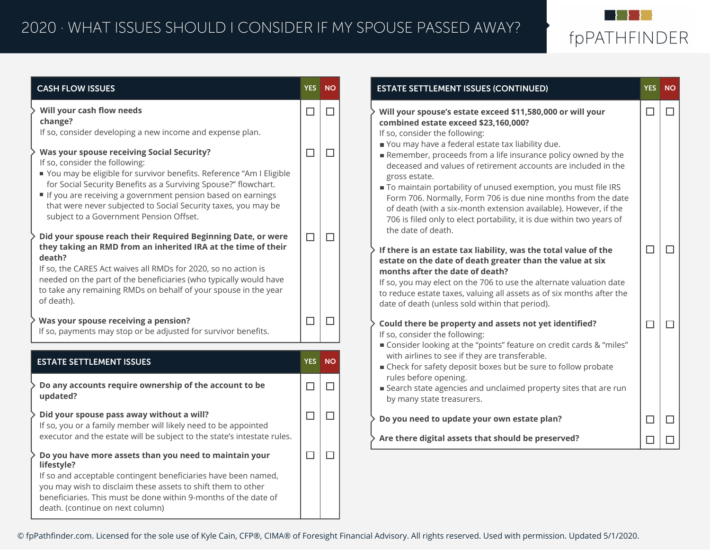

| <b>CASH FLOW ISSUES</b>                                                                                                                                                                                                                                                                                                                                                                                     |        | YES NO | <b>ESTATE SETTLEMENT ISSUES (CONTINUED)</b>                                                                                                                                                                                                                                                                                                                                                                                                                                                               | YES NO |        |
|-------------------------------------------------------------------------------------------------------------------------------------------------------------------------------------------------------------------------------------------------------------------------------------------------------------------------------------------------------------------------------------------------------------|--------|--------|-----------------------------------------------------------------------------------------------------------------------------------------------------------------------------------------------------------------------------------------------------------------------------------------------------------------------------------------------------------------------------------------------------------------------------------------------------------------------------------------------------------|--------|--------|
| Will your cash flow needs<br>change?<br>If so, consider developing a new income and expense plan.                                                                                                                                                                                                                                                                                                           | $\Box$ | $\Box$ | Will your spouse's estate exceed \$11,580,000 or will your<br>combined estate exceed \$23,160,000?<br>If so, consider the following:                                                                                                                                                                                                                                                                                                                                                                      | $\Box$ | $\Box$ |
| <b>Was your spouse receiving Social Security?</b><br>If so, consider the following:<br>■ You may be eligible for survivor benefits. Reference "Am I Eligible<br>for Social Security Benefits as a Surviving Spouse?" flowchart.<br>If you are receiving a government pension based on earnings<br>that were never subjected to Social Security taxes, you may be<br>subject to a Government Pension Offset. | $\Box$ | $\Box$ | You may have a federal estate tax liability due.<br>Remember, proceeds from a life insurance policy owned by the<br>deceased and values of retirement accounts are included in the<br>gross estate.<br>To maintain portability of unused exemption, you must file IRS<br>Form 706. Normally, Form 706 is due nine months from the date<br>of death (with a six-month extension available). However, if the<br>706 is filed only to elect portability, it is due within two years of<br>the date of death. |        |        |
| Did your spouse reach their Required Beginning Date, or were<br>they taking an RMD from an inherited IRA at the time of their<br>death?<br>If so, the CARES Act waives all RMDs for 2020, so no action is<br>needed on the part of the beneficiaries (who typically would have<br>to take any remaining RMDs on behalf of your spouse in the year<br>of death).                                             | $\Box$ | $\Box$ | If there is an estate tax liability, was the total value of the<br>estate on the date of death greater than the value at six<br>months after the date of death?<br>If so, you may elect on the 706 to use the alternate valuation date<br>to reduce estate taxes, valuing all assets as of six months after the<br>date of death (unless sold within that period).                                                                                                                                        | $\Box$ | $\Box$ |
| Was your spouse receiving a pension?<br>If so, payments may stop or be adjusted for survivor benefits.                                                                                                                                                                                                                                                                                                      | $\Box$ | $\Box$ | Could there be property and assets not yet identified?<br>If so, consider the following:                                                                                                                                                                                                                                                                                                                                                                                                                  | $\Box$ | $\Box$ |
| <b>ESTATE SETTLEMENT ISSUES</b>                                                                                                                                                                                                                                                                                                                                                                             |        | YES NO | ■ Consider looking at the "points" feature on credit cards & "miles"<br>with airlines to see if they are transferable.<br>■ Check for safety deposit boxes but be sure to follow probate                                                                                                                                                                                                                                                                                                                  |        |        |
| Do any accounts require ownership of the account to be<br>updated?                                                                                                                                                                                                                                                                                                                                          | $\Box$ | $\Box$ | rules before opening.<br>■ Search state agencies and unclaimed property sites that are run<br>by many state treasurers.                                                                                                                                                                                                                                                                                                                                                                                   |        |        |
| Did your spouse pass away without a will?<br>If so, you or a family member will likely need to be appointed                                                                                                                                                                                                                                                                                                 | $\Box$ | $\Box$ | Do you need to update your own estate plan?                                                                                                                                                                                                                                                                                                                                                                                                                                                               | $\Box$ | $\Box$ |
| executor and the estate will be subject to the state's intestate rules.                                                                                                                                                                                                                                                                                                                                     |        |        | Are there digital assets that should be preserved?                                                                                                                                                                                                                                                                                                                                                                                                                                                        | $\Box$ | $\Box$ |
| Do you have more assets than you need to maintain your<br>lifestyle?<br>If so and acceptable contingent beneficiaries have been named,<br>you may wish to disclaim these assets to shift them to other<br>beneficiaries. This must be done within 9-months of the date of<br>death. (continue on next column)                                                                                               | $\Box$ | $\Box$ |                                                                                                                                                                                                                                                                                                                                                                                                                                                                                                           |        |        |

© fpPathfinder.com. Licensed for the sole use of Kyle Cain, CFP®, CIMA® of Foresight Financial Advisory. All rights reserved. Used with permission. Updated 5/1/2020.